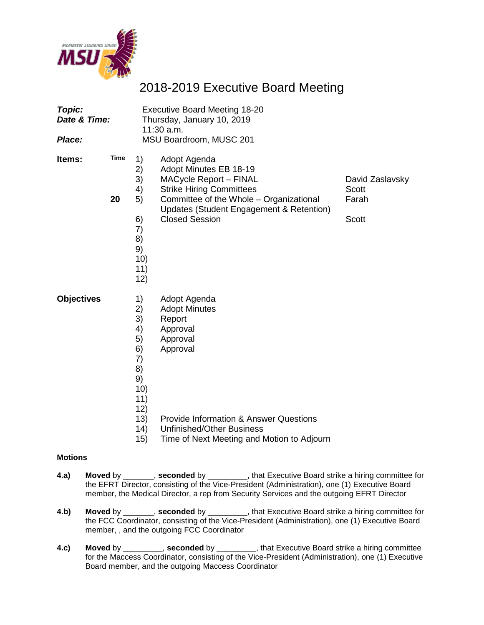

# 2018-2019 Executive Board Meeting

| Topic:<br>Date & Time:<br>Place: |                   | <b>Executive Board Meeting 18-20</b><br>Thursday, January 10, 2019<br>11:30 a.m.<br>MSU Boardroom, MUSC 201 |                                                                                                                                                                                                                            |                                                          |  |
|----------------------------------|-------------------|-------------------------------------------------------------------------------------------------------------|----------------------------------------------------------------------------------------------------------------------------------------------------------------------------------------------------------------------------|----------------------------------------------------------|--|
| Items:                           | <b>Time</b><br>20 | 1)<br>2)<br>3)<br>4)<br>5)<br>6)<br>7)<br>8)<br>9)<br>10)<br>11)<br>12)                                     | Adopt Agenda<br>Adopt Minutes EB 18-19<br><b>MACycle Report - FINAL</b><br><b>Strike Hiring Committees</b><br>Committee of the Whole - Organizational<br>Updates (Student Engagement & Retention)<br><b>Closed Session</b> | David Zaslavsky<br><b>Scott</b><br>Farah<br><b>Scott</b> |  |
| <b>Objectives</b>                |                   | 1)<br>2)<br>3)<br>4)<br>5)<br>6)<br>7)<br>8)<br>9)<br>10)<br>11)<br>12)<br>13)<br>(14)<br>15)               | Adopt Agenda<br><b>Adopt Minutes</b><br>Report<br>Approval<br>Approval<br>Approval<br><b>Provide Information &amp; Answer Questions</b><br><b>Unfinished/Other Business</b><br>Time of Next Meeting and Motion to Adjourn  |                                                          |  |

## **Motions**

- **4.a) Moved** by \_\_\_\_\_\_\_, **seconded** by \_\_\_\_\_\_\_\_\_, that Executive Board strike a hiring committee for the EFRT Director, consisting of the Vice-President (Administration), one (1) Executive Board member, the Medical Director, a rep from Security Services and the outgoing EFRT Director
- **4.b) Moved** by \_\_\_\_\_\_\_, **seconded** by \_\_\_\_\_\_\_\_\_, that Executive Board strike a hiring committee for the FCC Coordinator, consisting of the Vice-President (Administration), one (1) Executive Board member, , and the outgoing FCC Coordinator
- **4.c) Moved** by \_\_\_\_\_\_\_\_\_, **seconded** by \_\_\_\_\_\_\_\_\_, that Executive Board strike a hiring committee for the Maccess Coordinator, consisting of the Vice-President (Administration), one (1) Executive Board member, and the outgoing Maccess Coordinator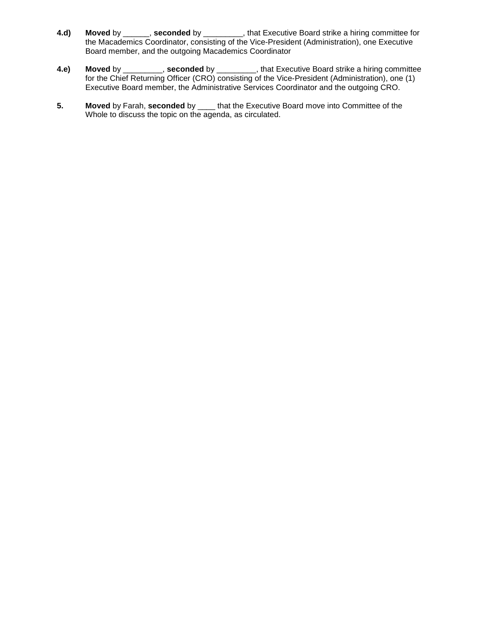- **4.d) Moved** by \_\_\_\_\_\_, **seconded** by \_\_\_\_\_\_\_\_\_, that Executive Board strike a hiring committee for the Macademics Coordinator, consisting of the Vice-President (Administration), one Executive Board member, and the outgoing Macademics Coordinator
- **4.e) Moved** by \_\_\_\_\_\_\_\_\_, **seconded** by \_\_\_\_\_\_\_\_\_, that Executive Board strike a hiring committee for the Chief Returning Officer (CRO) consisting of the Vice-President (Administration), one (1) Executive Board member, the Administrative Services Coordinator and the outgoing CRO.
- **5. Moved** by Farah, **seconded** by \_\_\_\_ that the Executive Board move into Committee of the Whole to discuss the topic on the agenda, as circulated.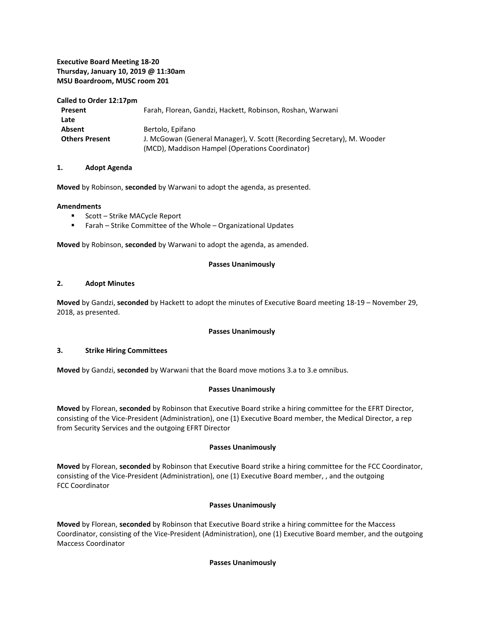## **Executive Board Meeting 18-20 Thursday, January 10, 2019 @ 11:30am MSU Boardroom, MUSC room 201**

#### **Called to Order 12:17pm**

| Present               | Farah, Florean, Gandzi, Hackett, Robinson, Roshan, Warwani              |  |
|-----------------------|-------------------------------------------------------------------------|--|
| Late                  |                                                                         |  |
| Absent                | Bertolo, Epifano                                                        |  |
| <b>Others Present</b> | J. McGowan (General Manager), V. Scott (Recording Secretary), M. Wooder |  |
|                       | (MCD), Maddison Hampel (Operations Coordinator)                         |  |

#### **1. Adopt Agenda**

**Moved** by Robinson, **seconded** by Warwani to adopt the agenda, as presented.

#### **Amendments**

- **Scott Strike MACycle Report**
- Farah Strike Committee of the Whole Organizational Updates

**Moved** by Robinson, **seconded** by Warwani to adopt the agenda, as amended.

#### **Passes Unanimously**

#### **2. Adopt Minutes**

**Moved** by Gandzi, **seconded** by Hackett to adopt the minutes of Executive Board meeting 18-19 – November 29, 2018, as presented.

#### **Passes Unanimously**

#### **3. Strike Hiring Committees**

**Moved** by Gandzi, **seconded** by Warwani that the Board move motions 3.a to 3.e omnibus.

## **Passes Unanimously**

**Moved** by Florean, **seconded** by Robinson that Executive Board strike a hiring committee for the EFRT Director, consisting of the Vice-President (Administration), one (1) Executive Board member, the Medical Director, a rep from Security Services and the outgoing EFRT Director

## **Passes Unanimously**

**Moved** by Florean, **seconded** by Robinson that Executive Board strike a hiring committee for the FCC Coordinator, consisting of the Vice-President (Administration), one (1) Executive Board member, , and the outgoing FCC Coordinator

#### **Passes Unanimously**

**Moved** by Florean, **seconded** by Robinson that Executive Board strike a hiring committee for the Maccess Coordinator, consisting of the Vice-President (Administration), one (1) Executive Board member, and the outgoing Maccess Coordinator

#### **Passes Unanimously**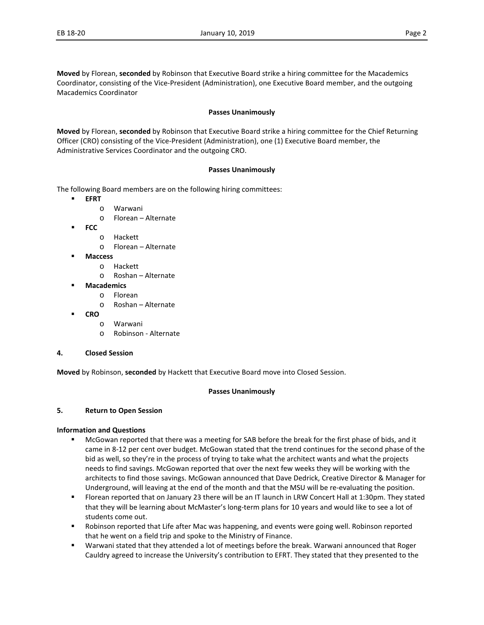**Moved** by Florean, **seconded** by Robinson that Executive Board strike a hiring committee for the Macademics Coordinator, consisting of the Vice-President (Administration), one Executive Board member, and the outgoing Macademics Coordinator

#### **Passes Unanimously**

**Moved** by Florean, **seconded** by Robinson that Executive Board strike a hiring committee for the Chief Returning Officer (CRO) consisting of the Vice-President (Administration), one (1) Executive Board member, the Administrative Services Coordinator and the outgoing CRO.

#### **Passes Unanimously**

The following Board members are on the following hiring committees:

- **EFRT**
	- o Warwani
	- o Florean Alternate
- **FCC**
	- o Hackett
	- o Florean Alternate
- **Maccess** 
	- o Hackett
	- o Roshan Alternate
- **Macademics**
	- o Florean
	- o Roshan Alternate
- **CRO**
	- o Warwani
	- o Robinson Alternate

#### **4. Closed Session**

**Moved** by Robinson, **seconded** by Hackett that Executive Board move into Closed Session.

#### **Passes Unanimously**

#### **5. Return to Open Session**

#### **Information and Questions**

- McGowan reported that there was a meeting for SAB before the break for the first phase of bids, and it came in 8-12 per cent over budget. McGowan stated that the trend continues for the second phase of the bid as well, so they're in the process of trying to take what the architect wants and what the projects needs to find savings. McGowan reported that over the next few weeks they will be working with the architects to find those savings. McGowan announced that Dave Dedrick, Creative Director & Manager for Underground, will leaving at the end of the month and that the MSU will be re-evaluating the position.
- Florean reported that on January 23 there will be an IT launch in LRW Concert Hall at 1:30pm. They stated that they will be learning about McMaster's long-term plans for 10 years and would like to see a lot of students come out.
- **EXECT** Robinson reported that Life after Mac was happening, and events were going well. Robinson reported that he went on a field trip and spoke to the Ministry of Finance.
- Warwani stated that they attended a lot of meetings before the break. Warwani announced that Roger Cauldry agreed to increase the University's contribution to EFRT. They stated that they presented to the